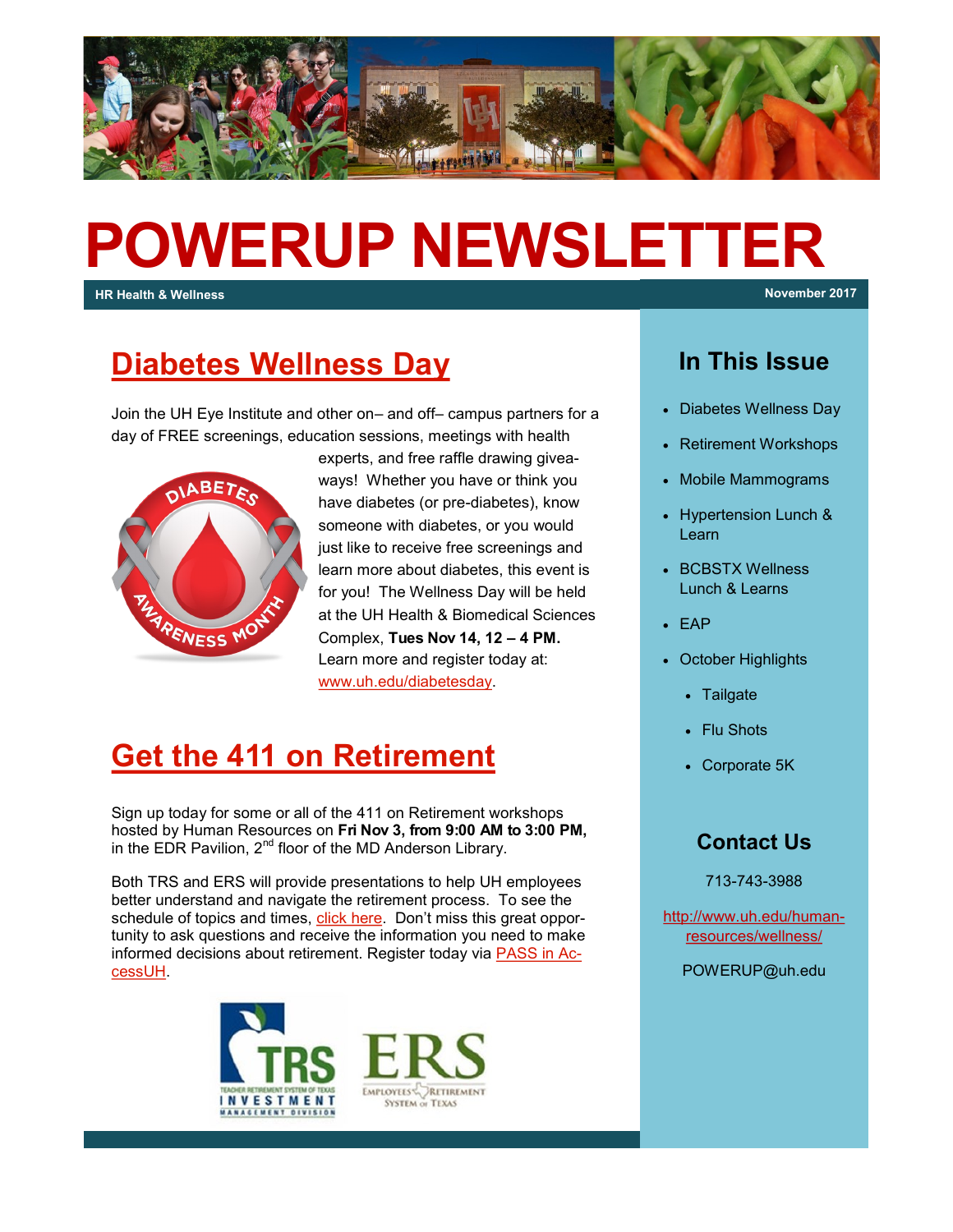

# **POWERUP NEWSLETTER**

**HR Health & Wellness November 2017**

#### **[Diabetes Wellness Day](http://www.uh.edu/diabetesday)**

Join the UH Eye Institute and other on– and off– campus partners for a day of FREE screenings, education sessions, meetings with health



experts, and free raffle drawing giveaways! Whether you have or think you have diabetes (or pre-diabetes), know someone with diabetes, or you would just like to receive free screenings and learn more about diabetes, this event is for you! The Wellness Day will be held at the UH Health & Biomedical Sciences Complex, **Tues Nov 14, 12 – 4 PM.**  Learn more and register today at: [www.uh.edu/diabetesday.](http://www.uh.edu/diabetesday)

#### **[Get the 411 on Retirement](http://www.uh.edu/human-resources/wellness/ERS-TRS-Retirement-Workshop-Sessions.pdf)**

Sign up today for some or all of the 411 on Retirement workshops hosted by Human Resources on **Fri Nov 3, from 9:00 AM to 3:00 PM,**  in the EDR Pavilion, 2<sup>nd</sup> floor of the MD Anderson Library.

Both TRS and ERS will provide presentations to help UH employees better understand and navigate the retirement process. To see the schedule of topics and times, [click here.](http://www.uh.edu/human-resources/) Don't miss this great opportunity to ask questions and receive the information you need to make informed decisions about retirement. Register today via [PASS in Ac](https://accessuh.uh.edu/login.php)[cessUH.](https://accessuh.uh.edu/login.php)



#### **In This Issue**

- Diabetes Wellness Day
- Retirement Workshops
- Mobile Mammograms
- Hypertension Lunch & Learn
- BCBSTX Wellness Lunch & Learns
- EAP
- October Highlights
	- Tailgate
	- Flu Shots
	- Corporate 5K

#### **Contact Us**

713-743-3988

[http://www.uh.edu/human](http://uhhelpdesk.custhelp.com/rd?1=AvNw~wqPDv8S~x7zGl1m~yKZAFsohC77Mv~m~z7~Pv8v&2=26669)[resources/wellness/](http://uhhelpdesk.custhelp.com/rd?1=AvNw~wqPDv8S~x7zGl1m~yKZAFsohC77Mv~m~z7~Pv8v&2=26669)

POWERUP@uh.edu